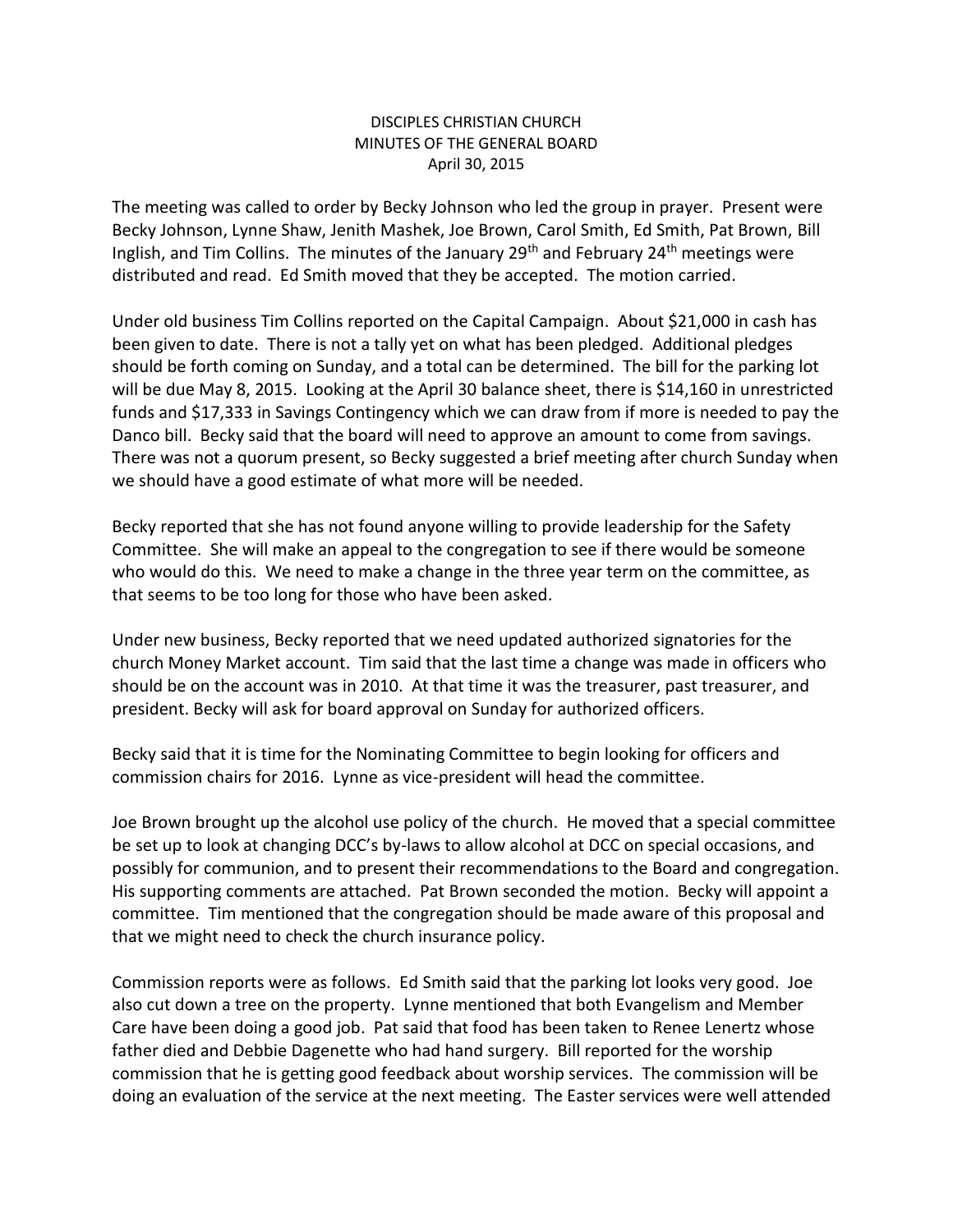## DISCIPLES CHRISTIAN CHURCH MINUTES OF THE GENERAL BOARD April 30, 2015

The meeting was called to order by Becky Johnson who led the group in prayer. Present were Becky Johnson, Lynne Shaw, Jenith Mashek, Joe Brown, Carol Smith, Ed Smith, Pat Brown, Bill Inglish, and Tim Collins. The minutes of the January 29<sup>th</sup> and February 24<sup>th</sup> meetings were distributed and read. Ed Smith moved that they be accepted. The motion carried.

Under old business Tim Collins reported on the Capital Campaign. About \$21,000 in cash has been given to date. There is not a tally yet on what has been pledged. Additional pledges should be forth coming on Sunday, and a total can be determined. The bill for the parking lot will be due May 8, 2015. Looking at the April 30 balance sheet, there is \$14,160 in unrestricted funds and \$17,333 in Savings Contingency which we can draw from if more is needed to pay the Danco bill. Becky said that the board will need to approve an amount to come from savings. There was not a quorum present, so Becky suggested a brief meeting after church Sunday when we should have a good estimate of what more will be needed.

Becky reported that she has not found anyone willing to provide leadership for the Safety Committee. She will make an appeal to the congregation to see if there would be someone who would do this. We need to make a change in the three year term on the committee, as that seems to be too long for those who have been asked.

Under new business, Becky reported that we need updated authorized signatories for the church Money Market account. Tim said that the last time a change was made in officers who should be on the account was in 2010. At that time it was the treasurer, past treasurer, and president. Becky will ask for board approval on Sunday for authorized officers.

Becky said that it is time for the Nominating Committee to begin looking for officers and commission chairs for 2016. Lynne as vice-president will head the committee.

Joe Brown brought up the alcohol use policy of the church. He moved that a special committee be set up to look at changing DCC's by-laws to allow alcohol at DCC on special occasions, and possibly for communion, and to present their recommendations to the Board and congregation. His supporting comments are attached. Pat Brown seconded the motion. Becky will appoint a committee. Tim mentioned that the congregation should be made aware of this proposal and that we might need to check the church insurance policy.

Commission reports were as follows. Ed Smith said that the parking lot looks very good. Joe also cut down a tree on the property. Lynne mentioned that both Evangelism and Member Care have been doing a good job. Pat said that food has been taken to Renee Lenertz whose father died and Debbie Dagenette who had hand surgery. Bill reported for the worship commission that he is getting good feedback about worship services. The commission will be doing an evaluation of the service at the next meeting. The Easter services were well attended